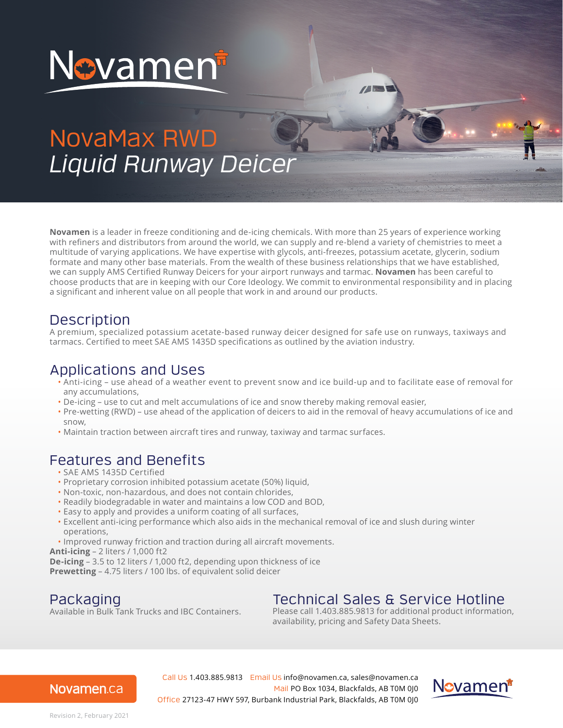

# NovaMax RWD *Liquid Runway Deicer*

**Novamen** is a leader in freeze conditioning and de-icing chemicals. With more than 25 years of experience working with refiners and distributors from around the world, we can supply and re-blend a variety of chemistries to meet a multitude of varying applications. We have expertise with glycols, anti-freezes, potassium acetate, glycerin, sodium formate and many other base materials. From the wealth of these business relationships that we have established, we can supply AMS Certified Runway Deicers for your airport runways and tarmac. **Novamen** has been careful to choose products that are in keeping with our Core Ideology. We commit to environmental responsibility and in placing a significant and inherent value on all people that work in and around our products.

### **Description**

A premium, specialized potassium acetate-based runway deicer designed for safe use on runways, taxiways and tarmacs. Certified to meet SAE AMS 1435D specifications as outlined by the aviation industry.

#### Applications and Uses

- Anti-icing use ahead of a weather event to prevent snow and ice build-up and to facilitate ease of removal for any accumulations,
- De-icing use to cut and melt accumulations of ice and snow thereby making removal easier,
- Pre-wetting (RWD) use ahead of the application of deicers to aid in the removal of heavy accumulations of ice and snow,
- Maintain traction between aircraft tires and runway, taxiway and tarmac surfaces.

#### Features and Benefits

- SAE AMS 1435D Certified
- Proprietary corrosion inhibited potassium acetate (50%) liquid,
- Non-toxic, non-hazardous, and does not contain chlorides,
- Readily biodegradable in water and maintains a low COD and BOD,
- Easy to apply and provides a uniform coating of all surfaces,
- Excellent anti-icing performance which also aids in the mechanical removal of ice and slush during winter operations,
- Improved runway friction and traction during all aircraft movements.

**Anti-icing** – 2 liters / 1,000 ft2

**De-icing** – 3.5 to 12 liters / 1,000 ft2, depending upon thickness of ice

**Prewetting** – 4.75 liters / 100 lbs. of equivalent solid deicer

### Packaging

Available in Bulk Tank Trucks and IBC Containers.

## Technical Sales & Service Hotline

Please call 1.403.885.9813 for additional product information, availability, pricing and Safety Data Sheets.

#### Novamen.ca

Call Us 1.403.885.9813 Email Us info@novamen.ca, sales@novamen.ca Mail PO Box 1034, Blackfalds, AB T0M 0J0 Office 27123-47 HWY 597, Burbank Industrial Park, Blackfalds, AB T0M 0J0